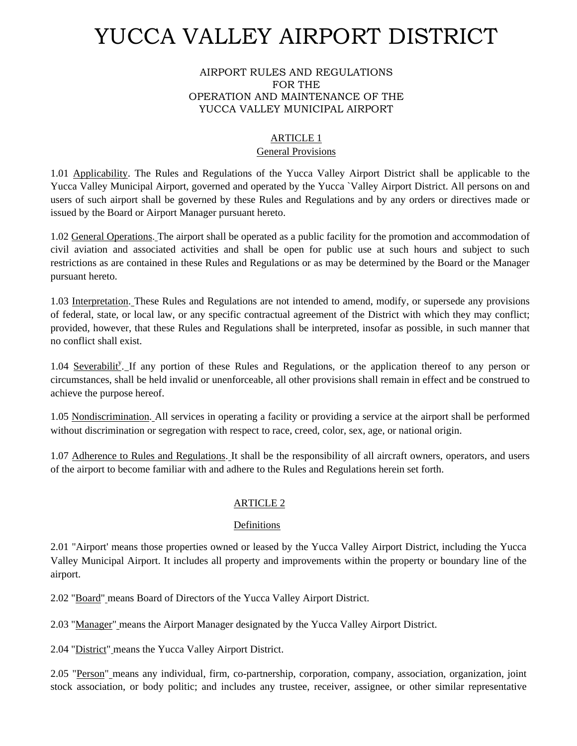# YUCCA VALLEY AIRPORT DISTRICT

#### AIRPORT RULES AND REGULATIONS FOR THE OPERATION AND MAINTENANCE OF THE YUCCA VALLEY MUNICIPAL AIRPORT

# ARTICLE 1

## General Provisions

1.01 Applicability. The Rules and Regulations of the Yucca Valley Airport District shall be applicable to the Yucca Valley Municipal Airport, governed and operated by the Yucca `Valley Airport District. All persons on and users of such airport shall be governed by these Rules and Regulations and by any orders or directives made or issued by the Board or Airport Manager pursuant hereto.

1.02 General Operations. The airport shall be operated as a public facility for the promotion and accommodation of civil aviation and associated activities and shall be open for public use at such hours and subject to such restrictions as are contained in these Rules and Regulations or as may be determined by the Board or the Manager pursuant hereto.

1.03 Interpretation. These Rules and Regulations are not intended to amend, modify, or supersede any provisions of federal, state, or local law, or any specific contractual agreement of the District with which they may conflict; provided, however, that these Rules and Regulations shall be interpreted, insofar as possible, in such manner that no conflict shall exist.

1.04 Severabilit<sup>y</sup>. If any portion of these Rules and Regulations, or the application thereof to any person or circumstances, shall be held invalid or unenforceable, all other provisions shall remain in effect and be construed to achieve the purpose hereof.

1.05 Nondiscrimination. All services in operating a facility or providing a service at the airport shall be performed without discrimination or segregation with respect to race, creed, color, sex, age, or national origin.

1.07 Adherence to Rules and Regulations. It shall be the responsibility of all aircraft owners, operators, and users of the airport to become familiar with and adhere to the Rules and Regulations herein set forth.

## ARTICLE 2

## Definitions

2.01 "Airport' means those properties owned or leased by the Yucca Valley Airport District, including the Yucca Valley Municipal Airport. It includes all property and improvements within the property or boundary line of the airport.

2.02 "Board" means Board of Directors of the Yucca Valley Airport District.

2.03 "Manager" means the Airport Manager designated by the Yucca Valley Airport District.

2.04 "District" means the Yucca Valley Airport District.

2.05 "Person" means any individual, firm, co-partnership, corporation, company, association, organization, joint stock association, or body politic; and includes any trustee, receiver, assignee, or other similar representative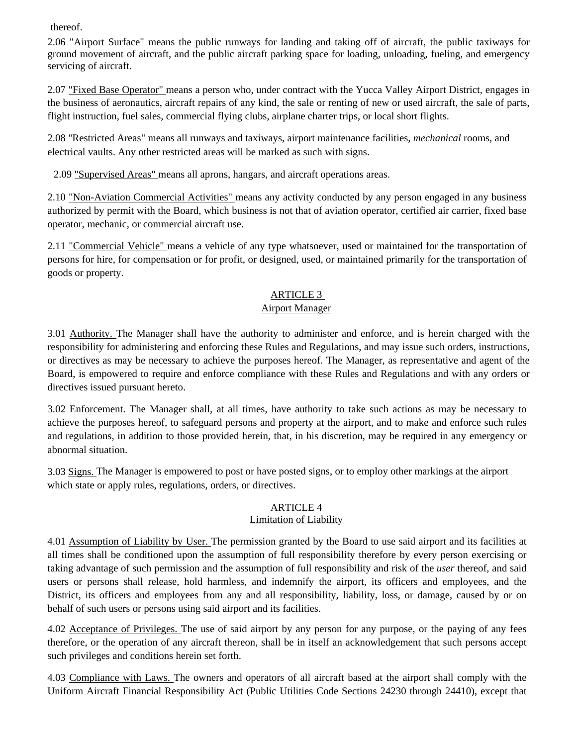thereof.

2.06 "Airport Surface" means the public runways for landing and taking off of aircraft, the public taxiways for ground movement of aircraft, and the public aircraft parking space for loading, unloading, fueling, and emergency servicing of aircraft.

2.07 "Fixed Base Operator" means a person who, under contract with the Yucca Valley Airport District, engages in the business of aeronautics, aircraft repairs of any kind, the sale or renting of new or used aircraft, the sale of parts, flight instruction, fuel sales, commercial flying clubs, airplane charter trips, or local short flights.

2.08 "Restricted Areas" means all runways and taxiways, airport maintenance facilities, *mechanical* rooms, and electrical vaults. Any other restricted areas will be marked as such with signs.

2.09 "Supervised Areas" means all aprons, hangars, and aircraft operations areas.

2.10 "Non-Aviation Commercial Activities" means any activity conducted by any person engaged in any business authorized by permit with the Board, which business is not that of aviation operator, certified air carrier, fixed base operator, mechanic, or commercial aircraft use.

2.11 "Commercial Vehicle" means a vehicle of any type whatsoever, used or maintained for the transportation of persons for hire, for compensation or for profit, or designed, used, or maintained primarily for the transportation of goods or property.

# ARTICLE 3

#### Airport Manager

3.01 Authority. The Manager shall have the authority to administer and enforce, and is herein charged with the responsibility for administering and enforcing these Rules and Regulations, and may issue such orders, instructions, or directives as may be necessary to achieve the purposes hereof. The Manager, as representative and agent of the Board, is empowered to require and enforce compliance with these Rules and Regulations and with any orders or directives issued pursuant hereto.

3.02 Enforcement. The Manager shall, at all times, have authority to take such actions as may be necessary to achieve the purposes hereof, to safeguard persons and property at the airport, and to make and enforce such rules and regulations, in addition to those provided herein, that, in his discretion, may be required in any emergency or abnormal situation.

3.03 Signs. The Manager is empowered to post or have posted signs, or to employ other markings at the airport which state or apply rules, regulations, orders, or directives.

#### ARTICLE 4 Limitation of Liability

4.01 Assumption of Liability by User. The permission granted by the Board to use said airport and its facilities at all times shall be conditioned upon the assumption of full responsibility therefore by every person exercising or taking advantage of such permission and the assumption of full responsibility and risk of the *user* thereof, and said users or persons shall release, hold harmless, and indemnify the airport, its officers and employees, and the District, its officers and employees from any and all responsibility, liability, loss, or damage, caused by or on behalf of such users or persons using said airport and its facilities.

4.02 Acceptance of Privileges. The use of said airport by any person for any purpose, or the paying of any fees therefore, or the operation of any aircraft thereon, shall be in itself an acknowledgement that such persons accept such privileges and conditions herein set forth.

4.03 Compliance with Laws. The owners and operators of all aircraft based at the airport shall comply with the Uniform Aircraft Financial Responsibility Act (Public Utilities Code Sections 24230 through 24410), except that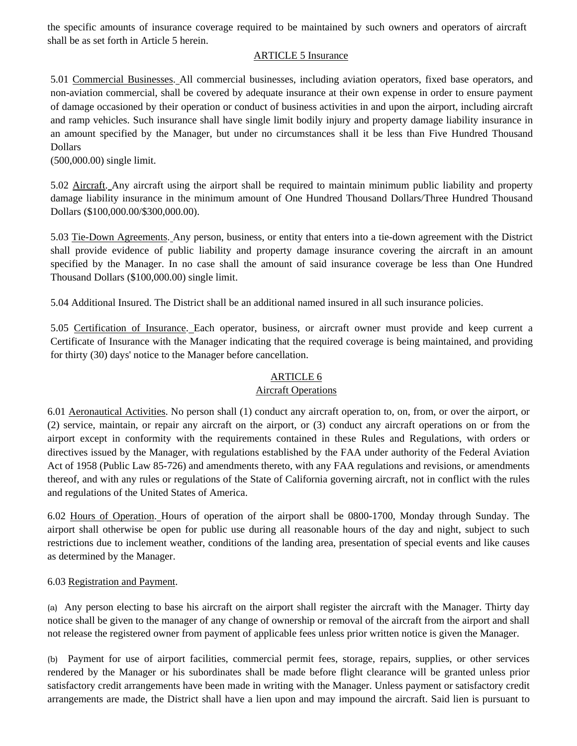the specific amounts of insurance coverage required to be maintained by such owners and operators of aircraft shall be as set forth in Article 5 herein.

#### ARTICLE 5 Insurance

5.01 Commercial Businesses. All commercial businesses, including aviation operators, fixed base operators, and non-aviation commercial, shall be covered by adequate insurance at their own expense in order to ensure payment of damage occasioned by their operation or conduct of business activities in and upon the airport, including aircraft and ramp vehicles. Such insurance shall have single limit bodily injury and property damage liability insurance in an amount specified by the Manager, but under no circumstances shall it be less than Five Hundred Thousand Dollars

(500,000.00) single limit.

5.02 Aircraft. Any aircraft using the airport shall be required to maintain minimum public liability and property damage liability insurance in the minimum amount of One Hundred Thousand Dollars/Three Hundred Thousand Dollars (\$100,000.00/\$300,000.00).

5.03 Tie-Down Agreements. Any person, business, or entity that enters into a tie-down agreement with the District shall provide evidence of public liability and property damage insurance covering the aircraft in an amount specified by the Manager. In no case shall the amount of said insurance coverage be less than One Hundred Thousand Dollars (\$100,000.00) single limit.

5.04 Additional Insured. The District shall be an additional named insured in all such insurance policies.

5.05 Certification of Insurance. Each operator, business, or aircraft owner must provide and keep current a Certificate of Insurance with the Manager indicating that the required coverage is being maintained, and providing for thirty (30) days' notice to the Manager before cancellation.

## ARTICLE 6

## Aircraft Operations

6.01 Aeronautical Activities. No person shall (1) conduct any aircraft operation to, on, from, or over the airport, or (2) service, maintain, or repair any aircraft on the airport, or (3) conduct any aircraft operations on or from the airport except in conformity with the requirements contained in these Rules and Regulations, with orders or directives issued by the Manager, with regulations established by the FAA under authority of the Federal Aviation Act of 1958 (Public Law 85-726) and amendments thereto, with any FAA regulations and revisions, or amendments thereof, and with any rules or regulations of the State of California governing aircraft, not in conflict with the rules and regulations of the United States of America.

6.02 Hours of Operation. Hours of operation of the airport shall be 0800-1700, Monday through Sunday. The airport shall otherwise be open for public use during all reasonable hours of the day and night, subject to such restrictions due to inclement weather, conditions of the landing area, presentation of special events and like causes as determined by the Manager.

#### 6.03 Registration and Payment.

(a) Any person electing to base his aircraft on the airport shall register the aircraft with the Manager. Thirty day notice shall be given to the manager of any change of ownership or removal of the aircraft from the airport and shall not release the registered owner from payment of applicable fees unless prior written notice is given the Manager.

(b) Payment for use of airport facilities, commercial permit fees, storage, repairs, supplies, or other services rendered by the Manager or his subordinates shall be made before flight clearance will be granted unless prior satisfactory credit arrangements have been made in writing with the Manager. Unless payment or satisfactory credit arrangements are made, the District shall have a lien upon and may impound the aircraft. Said lien is pursuant to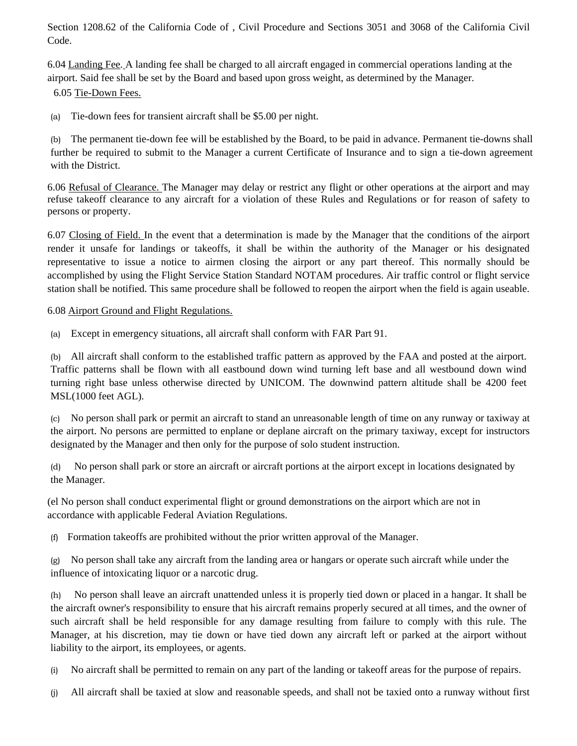Section 1208.62 of the California Code of , Civil Procedure and Sections 3051 and 3068 of the California Civil Code.

6.04 Landing Fee. A landing fee shall be charged to all aircraft engaged in commercial operations landing at the airport. Said fee shall be set by the Board and based upon gross weight, as determined by the Manager.

#### 6.05 Tie-Down Fees.

(a) Tie-down fees for transient aircraft shall be \$5.00 per night.

(b) The permanent tie-down fee will be established by the Board, to be paid in advance. Permanent tie-downs shall further be required to submit to the Manager a current Certificate of Insurance and to sign a tie-down agreement with the District.

6.06 Refusal of Clearance. The Manager may delay or restrict any flight or other operations at the airport and may refuse takeoff clearance to any aircraft for a violation of these Rules and Regulations or for reason of safety to persons or property.

6.07 Closing of Field. In the event that a determination is made by the Manager that the conditions of the airport render it unsafe for landings or takeoffs, it shall be within the authority of the Manager or his designated representative to issue a notice to airmen closing the airport or any part thereof. This normally should be accomplished by using the Flight Service Station Standard NOTAM procedures. Air traffic control or flight service station shall be notified. This same procedure shall be followed to reopen the airport when the field is again useable.

#### 6.08 Airport Ground and Flight Regulations.

(a) Except in emergency situations, all aircraft shall conform with FAR Part 91.

(b) All aircraft shall conform to the established traffic pattern as approved by the FAA and posted at the airport. Traffic patterns shall be flown with all eastbound down wind turning left base and all westbound down wind turning right base unless otherwise directed by UNICOM. The downwind pattern altitude shall be 4200 feet MSL(1000 feet AGL).

(c) No person shall park or permit an aircraft to stand an unreasonable length of time on any runway or taxiway at the airport. No persons are permitted to enplane or deplane aircraft on the primary taxiway, except for instructors designated by the Manager and then only for the purpose of solo student instruction.

(d) No person shall park or store an aircraft or aircraft portions at the airport except in locations designated by the Manager.

(el No person shall conduct experimental flight or ground demonstrations on the airport which are not in accordance with applicable Federal Aviation Regulations.

(f) Formation takeoffs are prohibited without the prior written approval of the Manager.

(g) No person shall take any aircraft from the landing area or hangars or operate such aircraft while under the influence of intoxicating liquor or a narcotic drug.

(h) No person shall leave an aircraft unattended unless it is properly tied down or placed in a hangar. It shall be the aircraft owner's responsibility to ensure that his aircraft remains properly secured at all times, and the owner of such aircraft shall be held responsible for any damage resulting from failure to comply with this rule. The Manager, at his discretion, may tie down or have tied down any aircraft left or parked at the airport without liability to the airport, its employees, or agents.

(i) No aircraft shall be permitted to remain on any part of the landing or takeoff areas for the purpose of repairs.

(j) All aircraft shall be taxied at slow and reasonable speeds, and shall not be taxied onto a runway without first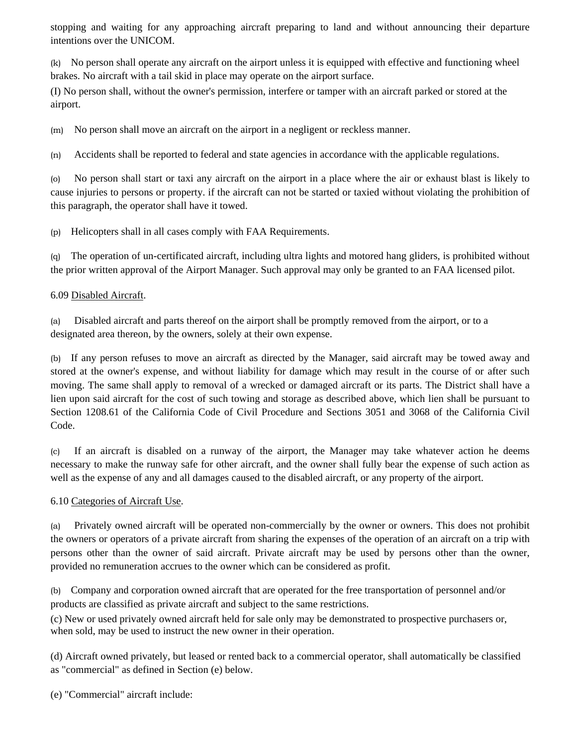stopping and waiting for any approaching aircraft preparing to land and without announcing their departure intentions over the UNICOM.

(k) No person shall operate any aircraft on the airport unless it is equipped with effective and functioning wheel brakes. No aircraft with a tail skid in place may operate on the airport surface.

(I) No person shall, without the owner's permission, interfere or tamper with an aircraft parked or stored at the airport.

(m) No person shall move an aircraft on the airport in a negligent or reckless manner.

(n) Accidents shall be reported to federal and state agencies in accordance with the applicable regulations.

(o) No person shall start or taxi any aircraft on the airport in a place where the air or exhaust blast is likely to cause injuries to persons or property. if the aircraft can not be started or taxied without violating the prohibition of this paragraph, the operator shall have it towed.

(p) Helicopters shall in all cases comply with FAA Requirements.

(q) The operation of un-certificated aircraft, including ultra lights and motored hang gliders, is prohibited without the prior written approval of the Airport Manager. Such approval may only be granted to an FAA licensed pilot.

# 6.09 Disabled Aircraft.

(a) Disabled aircraft and parts thereof on the airport shall be promptly removed from the airport, or to a designated area thereon, by the owners, solely at their own expense.

(b) If any person refuses to move an aircraft as directed by the Manager, said aircraft may be towed away and stored at the owner's expense, and without liability for damage which may result in the course of or after such moving. The same shall apply to removal of a wrecked or damaged aircraft or its parts. The District shall have a lien upon said aircraft for the cost of such towing and storage as described above, which lien shall be pursuant to Section 1208.61 of the California Code of Civil Procedure and Sections 3051 and 3068 of the California Civil Code.

(c) If an aircraft is disabled on a runway of the airport, the Manager may take whatever action he deems necessary to make the runway safe for other aircraft, and the owner shall fully bear the expense of such action as well as the expense of any and all damages caused to the disabled aircraft, or any property of the airport.

## 6.10 Categories of Aircraft Use.

(a) Privately owned aircraft will be operated non-commercially by the owner or owners. This does not prohibit the owners or operators of a private aircraft from sharing the expenses of the operation of an aircraft on a trip with persons other than the owner of said aircraft. Private aircraft may be used by persons other than the owner, provided no remuneration accrues to the owner which can be considered as profit.

(b) Company and corporation owned aircraft that are operated for the free transportation of personnel and/or products are classified as private aircraft and subject to the same restrictions.

(c) New or used privately owned aircraft held for sale only may be demonstrated to prospective purchasers or, when sold, may be used to instruct the new owner in their operation.

(d) Aircraft owned privately, but leased or rented back to a commercial operator, shall automatically be classified as "commercial" as defined in Section (e) below.

(e) "Commercial" aircraft include: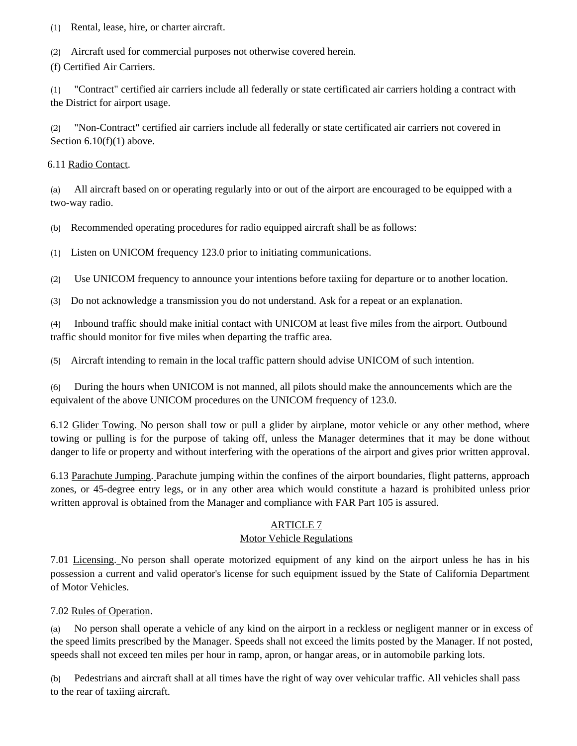(1) Rental, lease, hire, or charter aircraft.

(2) Aircraft used for commercial purposes not otherwise covered herein.

(f) Certified Air Carriers.

(1) "Contract" certified air carriers include all federally or state certificated air carriers holding a contract with the District for airport usage.

(2) "Non-Contract" certified air carriers include all federally or state certificated air carriers not covered in Section  $6.10(f)(1)$  above.

6.11 Radio Contact.

(a) All aircraft based on or operating regularly into or out of the airport are encouraged to be equipped with a two-way radio.

(b) Recommended operating procedures for radio equipped aircraft shall be as follows:

(1) Listen on UNICOM frequency 123.0 prior to initiating communications.

(2) Use UNICOM frequency to announce your intentions before taxiing for departure or to another location.

(3) Do not acknowledge a transmission you do not understand. Ask for a repeat or an explanation.

(4) Inbound traffic should make initial contact with UNICOM at least five miles from the airport. Outbound traffic should monitor for five miles when departing the traffic area.

(5) Aircraft intending to remain in the local traffic pattern should advise UNICOM of such intention.

(6) During the hours when UNICOM is not manned, all pilots should make the announcements which are the equivalent of the above UNICOM procedures on the UNICOM frequency of 123.0.

6.12 Glider Towing. No person shall tow or pull a glider by airplane, motor vehicle or any other method, where towing or pulling is for the purpose of taking off, unless the Manager determines that it may be done without danger to life or property and without interfering with the operations of the airport and gives prior written approval.

6.13 Parachute Jumping. Parachute jumping within the confines of the airport boundaries, flight patterns, approach zones, or 45-degree entry legs, or in any other area which would constitute a hazard is prohibited unless prior written approval is obtained from the Manager and compliance with FAR Part 105 is assured.

## ARTICLE 7

#### Motor Vehicle Regulations

7.01 Licensing. No person shall operate motorized equipment of any kind on the airport unless he has in his possession a current and valid operator's license for such equipment issued by the State of California Department of Motor Vehicles.

7.02 Rules of Operation.

(a) No person shall operate a vehicle of any kind on the airport in a reckless or negligent manner or in excess of the speed limits prescribed by the Manager. Speeds shall not exceed the limits posted by the Manager. If not posted, speeds shall not exceed ten miles per hour in ramp, apron, or hangar areas, or in automobile parking lots.

(b) Pedestrians and aircraft shall at all times have the right of way over vehicular traffic. All vehicles shall pass to the rear of taxiing aircraft.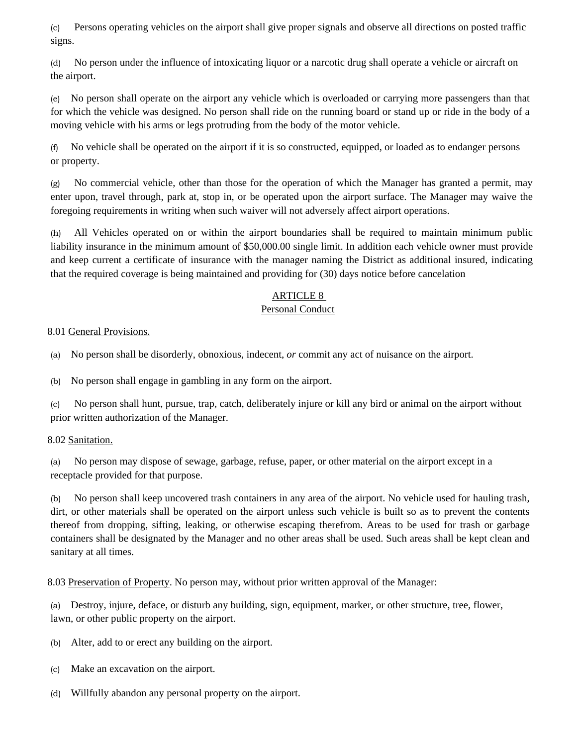(c) Persons operating vehicles on the airport shall give proper signals and observe all directions on posted traffic signs.

(d) No person under the influence of intoxicating liquor or a narcotic drug shall operate a vehicle or aircraft on the airport.

(e) No person shall operate on the airport any vehicle which is overloaded or carrying more passengers than that for which the vehicle was designed. No person shall ride on the running board or stand up or ride in the body of a moving vehicle with his arms or legs protruding from the body of the motor vehicle.

(f) No vehicle shall be operated on the airport if it is so constructed, equipped, or loaded as to endanger persons or property.

(g) No commercial vehicle, other than those for the operation of which the Manager has granted a permit, may enter upon, travel through, park at, stop in, or be operated upon the airport surface. The Manager may waive the foregoing requirements in writing when such waiver will not adversely affect airport operations.

(h) All Vehicles operated on or within the airport boundaries shall be required to maintain minimum public liability insurance in the minimum amount of \$50,000.00 single limit. In addition each vehicle owner must provide and keep current a certificate of insurance with the manager naming the District as additional insured, indicating that the required coverage is being maintained and providing for (30) days notice before cancelation

# ARTICLE 8

## Personal Conduct

8.01 General Provisions.

(a) No person shall be disorderly, obnoxious, indecent, *or* commit any act of nuisance on the airport.

(b) No person shall engage in gambling in any form on the airport.

(c) No person shall hunt, pursue, trap, catch, deliberately injure or kill any bird or animal on the airport without prior written authorization of the Manager.

## 8.02 Sanitation.

(a) No person may dispose of sewage, garbage, refuse, paper, or other material on the airport except in a receptacle provided for that purpose.

(b) No person shall keep uncovered trash containers in any area of the airport. No vehicle used for hauling trash, dirt, or other materials shall be operated on the airport unless such vehicle is built so as to prevent the contents thereof from dropping, sifting, leaking, or otherwise escaping therefrom. Areas to be used for trash or garbage containers shall be designated by the Manager and no other areas shall be used. Such areas shall be kept clean and sanitary at all times.

8.03 Preservation of Property. No person may, without prior written approval of the Manager:

(a) Destroy, injure, deface, or disturb any building, sign, equipment, marker, or other structure, tree, flower, lawn, or other public property on the airport.

(b) Alter, add to or erect any building on the airport.

- (c) Make an excavation on the airport.
- (d) Willfully abandon any personal property on the airport.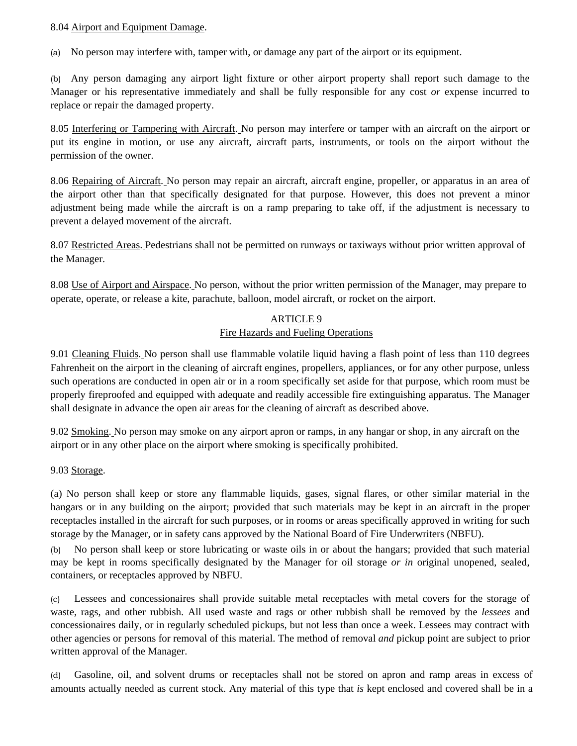#### 8.04 Airport and Equipment Damage.

(a) No person may interfere with, tamper with, or damage any part of the airport or its equipment.

(b) Any person damaging any airport light fixture or other airport property shall report such damage to the Manager or his representative immediately and shall be fully responsible for any cost *or* expense incurred to replace or repair the damaged property.

8.05 Interfering or Tampering with Aircraft. No person may interfere or tamper with an aircraft on the airport or put its engine in motion, or use any aircraft, aircraft parts, instruments, or tools on the airport without the permission of the owner.

8.06 Repairing of Aircraft. No person may repair an aircraft, aircraft engine, propeller, or apparatus in an area of the airport other than that specifically designated for that purpose. However, this does not prevent a minor adjustment being made while the aircraft is on a ramp preparing to take off, if the adjustment is necessary to prevent a delayed movement of the aircraft.

8.07 Restricted Areas. Pedestrians shall not be permitted on runways or taxiways without prior written approval of the Manager.

8.08 Use of Airport and Airspace. No person, without the prior written permission of the Manager, may prepare to operate, operate, or release a kite, parachute, balloon, model aircraft, or rocket on the airport.

# ARTICLE 9 Fire Hazards and Fueling Operations

9.01 Cleaning Fluids. No person shall use flammable volatile liquid having a flash point of less than 110 degrees Fahrenheit on the airport in the cleaning of aircraft engines, propellers, appliances, or for any other purpose, unless such operations are conducted in open air or in a room specifically set aside for that purpose, which room must be properly fireproofed and equipped with adequate and readily accessible fire extinguishing apparatus. The Manager shall designate in advance the open air areas for the cleaning of aircraft as described above.

9.02 Smoking. No person may smoke on any airport apron or ramps, in any hangar or shop, in any aircraft on the airport or in any other place on the airport where smoking is specifically prohibited.

#### 9.03 Storage.

(a) No person shall keep or store any flammable liquids, gases, signal flares, or other similar material in the hangars or in any building on the airport; provided that such materials may be kept in an aircraft in the proper receptacles installed in the aircraft for such purposes, or in rooms or areas specifically approved in writing for such storage by the Manager, or in safety cans approved by the National Board of Fire Underwriters (NBFU).

(b) No person shall keep or store lubricating or waste oils in or about the hangars; provided that such material may be kept in rooms specifically designated by the Manager for oil storage *or in* original unopened, sealed, containers, or receptacles approved by NBFU.

(c) Lessees and concessionaires shall provide suitable metal receptacles with metal covers for the storage of waste, rags, and other rubbish. All used waste and rags or other rubbish shall be removed by the *lessees* and concessionaires daily, or in regularly scheduled pickups, but not less than once a week. Lessees may contract with other agencies or persons for removal of this material. The method of removal *and* pickup point are subject to prior written approval of the Manager.

(d) Gasoline, oil, and solvent drums or receptacles shall not be stored on apron and ramp areas in excess of amounts actually needed as current stock. Any material of this type that *is* kept enclosed and covered shall be in a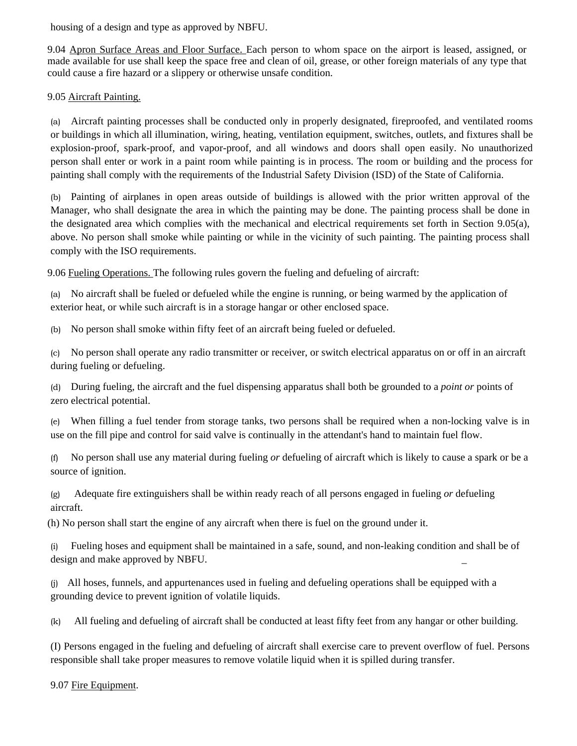housing of a design and type as approved by NBFU.

9.04 Apron Surface Areas and Floor Surface. Each person to whom space on the airport is leased, assigned, or made available for use shall keep the space free and clean of oil, grease, or other foreign materials of any type that could cause a fire hazard or a slippery or otherwise unsafe condition.

## 9.05 Aircraft Painting.

(a) Aircraft painting processes shall be conducted only in properly designated, fireproofed, and ventilated rooms or buildings in which all illumination, wiring, heating, ventilation equipment, switches, outlets, and fixtures shall be explosion-proof, spark-proof, and vapor-proof, and all windows and doors shall open easily. No unauthorized person shall enter or work in a paint room while painting is in process. The room or building and the process for painting shall comply with the requirements of the Industrial Safety Division (ISD) of the State of California.

(b) Painting of airplanes in open areas outside of buildings is allowed with the prior written approval of the Manager, who shall designate the area in which the painting may be done. The painting process shall be done in the designated area which complies with the mechanical and electrical requirements set forth in Section 9.05(a), above. No person shall smoke while painting or while in the vicinity of such painting. The painting process shall comply with the ISO requirements.

9.06 Fueling Operations. The following rules govern the fueling and defueling of aircraft:

(a) No aircraft shall be fueled or defueled while the engine is running, or being warmed by the application of exterior heat, or while such aircraft is in a storage hangar or other enclosed space.

(b) No person shall smoke within fifty feet of an aircraft being fueled or defueled.

(c) No person shall operate any radio transmitter or receiver, or switch electrical apparatus on or off in an aircraft during fueling or defueling.

(d) During fueling, the aircraft and the fuel dispensing apparatus shall both be grounded to a *point or* points of zero electrical potential.

(e) When filling a fuel tender from storage tanks, two persons shall be required when a non-locking valve is in use on the fill pipe and control for said valve is continually in the attendant's hand to maintain fuel flow.

(f) No person shall use any material during fueling *or* defueling of aircraft which is likely to cause a spark or be a source of ignition.

(g) Adequate fire extinguishers shall be within ready reach of all persons engaged in fueling *or* defueling aircraft.

(h) No person shall start the engine of any aircraft when there is fuel on the ground under it.

Fueling hoses and equipment shall be maintained in a safe, sound, and non-leaking condition and shall be of design and make approved by NBFU.

(j) All hoses, funnels, and appurtenances used in fueling and defueling operations shall be equipped with a grounding device to prevent ignition of volatile liquids.

(k) All fueling and defueling of aircraft shall be conducted at least fifty feet from any hangar or other building.

(I) Persons engaged in the fueling and defueling of aircraft shall exercise care to prevent overflow of fuel. Persons responsible shall take proper measures to remove volatile liquid when it is spilled during transfer.

9.07 Fire Equipment.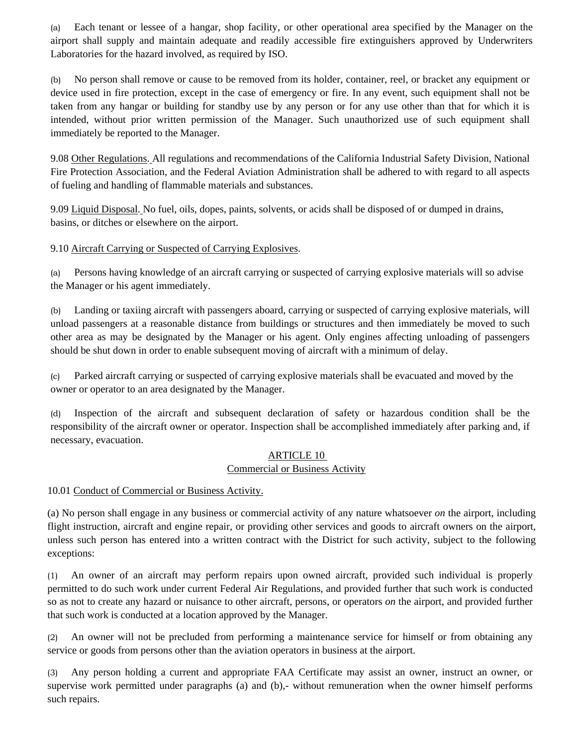(a) Each tenant or lessee of a hangar, shop facility, or other operational area specified by the Manager on the airport shall supply and maintain adequate and readily accessible fire extinguishers approved by Underwriters Laboratories for the hazard involved, as required by ISO.

(b) No person shall remove or cause to be removed from its holder, container, reel, or bracket any equipment or device used in fire protection, except in the case of emergency or fire. In any event, such equipment shall not be taken from any hangar or building for standby use by any person or for any use other than that for which it is intended, without prior written permission of the Manager. Such unauthorized use of such equipment shall immediately be reported to the Manager.

9.08 Other Regulations. All regulations and recommendations of the California Industrial Safety Division, National Fire Protection Association, and the Federal Aviation Administration shall be adhered to with regard to all aspects of fueling and handling of flammable materials and substances.

9.09 Liquid Disposal. No fuel, oils, dopes, paints, solvents, or acids shall be disposed of or dumped in drains, basins, or ditches or elsewhere on the airport.

## 9.10 Aircraft Carrying or Suspected of Carrying Explosives.

(a) Persons having knowledge of an aircraft carrying or suspected of carrying explosive materials will so advise the Manager or his agent immediately.

(b) Landing or taxiing aircraft with passengers aboard, carrying or suspected of carrying explosive materials, will unload passengers at a reasonable distance from buildings or structures and then immediately be moved to such other area as may be designated by the Manager or his agent. Only engines affecting unloading of passengers should be shut down in order to enable subsequent moving of aircraft with a minimum of delay.

(c) Parked aircraft carrying or suspected of carrying explosive materials shall be evacuated and moved by the owner or operator to an area designated by the Manager.

(d) Inspection of the aircraft and subsequent declaration of safety or hazardous condition shall be the responsibility of the aircraft owner or operator. Inspection shall be accomplished immediately after parking and, if necessary, evacuation.

#### ARTICLE 10 Commercial or Business Activity

## 10.01 Conduct of Commercial or Business Activity.

(a) No person shall engage in any business or commercial activity of any nature whatsoever *on* the airport, including flight instruction, aircraft and engine repair, or providing other services and goods to aircraft owners on the airport, unless such person has entered into a written contract with the District for such activity, subject to the following exceptions:

(1) An owner of an aircraft may perform repairs upon owned aircraft, provided such individual is properly permitted to do such work under current Federal Air Regulations, and provided further that such work is conducted so as not to create any hazard or nuisance to other aircraft, persons, or operators *on* the airport, and provided further that such work is conducted at a location approved by the Manager.

(2) An owner will not be precluded from performing a maintenance service for himself or from obtaining any service or goods from persons other than the aviation operators in business at the airport.

(3) Any person holding a current and appropriate FAA Certificate may assist an owner, instruct an owner, or supervise work permitted under paragraphs (a) and (b),- without remuneration when the owner himself performs such repairs.